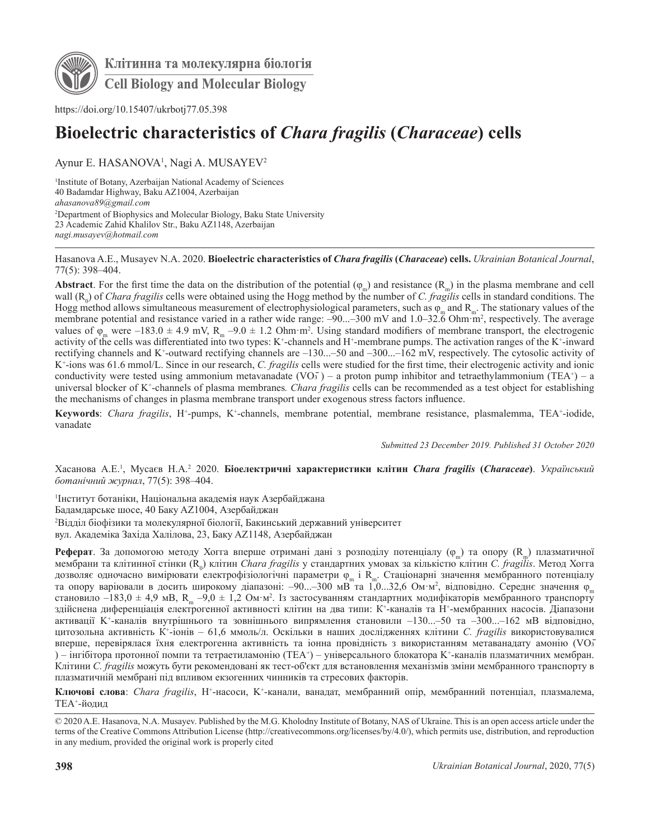

Клітинна та молекулярна біологія **Cell Biology and Molecular Biology** 

https://doi.org/10.15407/ukrbotj77.05.398

# **Bioelectric characteristics of** *Chara fragilis* **(***Characeae***) cells**

Aynur E. HASANOVA<sup>1</sup>, Nagi A. MUSAYEV<sup>2</sup>

1 Institute of Botany, Azerbaijan National Academy of Sciences 40 Badamdar Highway, Baku AZ1004, Azerbaijan *ahasanova89@gmail.com* 2 Department of Biophysics and Molecular Biology, Baku State University 23 Academic Zahid Khalilov Str., Baku AZ1148, Azerbaijan *nagi.musayev@hotmail.com*

Hasanova A.E., Musayev N.A. 2020. **Bioelectric characteristics of** *Chara fragilis* **(***Characeae***) cells.** *Ukrainian Botanical Journal*, 77(5): 398–404.

**Abstract**. For the first time the data on the distribution of the potential  $(\varphi_n)$  and resistance  $(R_n)$  in the plasma membrane and cell wall (R<sub>0</sub>) of *Chara fragilis* cells were obtained using the Hogg method by the number of *C. fragilis* cells in standard conditions. The Hogg method allows simultaneous measurement of electrophysiological parameters, such as  $\varphi_m$  and  $R_m$ . The stationary values of the membrane potential and resistance varied in a rather wide range:  $-90...-300$  mV and 1.0–32.6 Ohm·m<sup>2</sup>, respectively. The average values of  $\varphi_m$  were –183.0 ± 4.9 mV, R<sub>m</sub> –9.0 ± 1.2 Ohm·m<sup>2</sup>. Using standard modifiers of membrane transport, the electrogenic activity of the cells was differentiated into two types: K<sup>+</sup>-channels and H<sup>+</sup>-membrane pumps. The activation ranges of the K<sup>+</sup>-inward rectifying channels and K+ -outward rectifying channels are –130...–50 and –300...–162 mV, respectively. The cytosolic activity of K+ -ions was 61.6 mmol/L. Since in our research, *C. fragilis* cells were studied for the first time, their electrogenic activity and ionic conductivity were tested using ammonium metavanadate  $(VO<sub>3</sub>)$  – a proton pump inhibitor and tetraethylammonium (TEA<sup>+</sup>) – a universal blocker of K+ -channels of plasma membranes*. Chara fragilis* cells can be recommended as a test object for establishing the mechanisms of changes in plasma membrane transport under exogenous stress factors influence.

Keywords: Chara fragilis, H<sup>+</sup>-pumps, K<sup>+</sup>-channels, membrane potential, membrane resistance, plasmalemma, TEA<sup>+</sup>-iodide, vanadate

*Submitted 23 December 2019. Published 31 October 2020*

Хасанова А.Е.<sup>1</sup>, Мусаєв Н.А.<sup>2</sup> 2020. **Біоелектричні характеристики клітин** *Chara fragilis (Characeae)***.** *Український ботанічний журнал*, 77(5): 398–404.

1 Інститут ботаніки, Національна академія наук Азербайджана Бадамдарське шосе, 40 Баку AZ1004, Азербайджан 2 Відділ біофізики та молекулярної біології, Бакинський державний університет вул. Академіка Західа Халілова, 23, Баку AZ1148, Азербайджан

Реферат. За допомогою методу Хогга вперше отримані дані з розподілу потенціалу (φ<sub>m</sub>) та опору (R<sub>m</sub>) плазматичної мембрани та клітинної стінки (R<sub>0</sub>) клітин *Chara fragilis* у стандартних умовах за кількістю клітин *C. fragilis*. Метод Хогга дозволяє одночасно вимірювати електрофізіологічні параметри ф<sub>т</sub> і R<sub>n</sub>. Стаціонарні значення мембранного потенціалу<br>та опору варіювали в досить широкому діапазоні: –90…–300 мВ та 1,0…32,6 Ом·м<sup>2</sup>, відповідно. Середнє зна становило  $-183,0 \pm 4,9$  мB, R<sub>m</sub>  $-9,0 \pm 1,2$  Ом·м<sup>2</sup>. Із застосуванням стандартних модифікаторів мембранного транспорту здійснена диференціація електрогенної активності клітин на два типи: К+-каналів та Н+-мембранних насосів. Діапазони активації K<sup>+</sup> -каналів внутрішнього та зовнішнього випрямлення становили –130...–50 та –300...–162 мВ відповідно, цитозольна активність К<sup>+</sup> -іонів – 61,6 ммоль/л. Оскільки в наших дослідженнях клітини *C. fragilis* використовувалися вперше, перевірялася їхня електрогенна активність та іонна провідність з використанням метаванадату амонію (VO3̄ ) – інгібітора протонної помпи та тетраетиламонію (TEA+) – універсального блокатора K+-каналів плазматичних мембран. Клітини *C. fragilis* можуть бути рекомендовані як тест-об'єкт для встановлення механізмів зміни мембранного транспорту в плазматичній мембрані під впливом екзогенних чинників та стресових факторів.

**Ключові слова**: *Chara fragilis*, H+ -насоси, K<sup>+</sup> -канали, ванадат, мембранний опір, мембранний потенціал, плазмалема, TEA+ -йодид

<sup>© 2020</sup> A.E. Hasanova, N.A. Musayev. Published by the M.G. Kholodny Institute of Botany, NAS of Ukraine. This is an open access article under the terms of the Creative Commons Attribution License (http://creativecommons.org/licenses/by/4.0/), which permits use, distribution, and reproduction in any medium, provided the original work is properly cited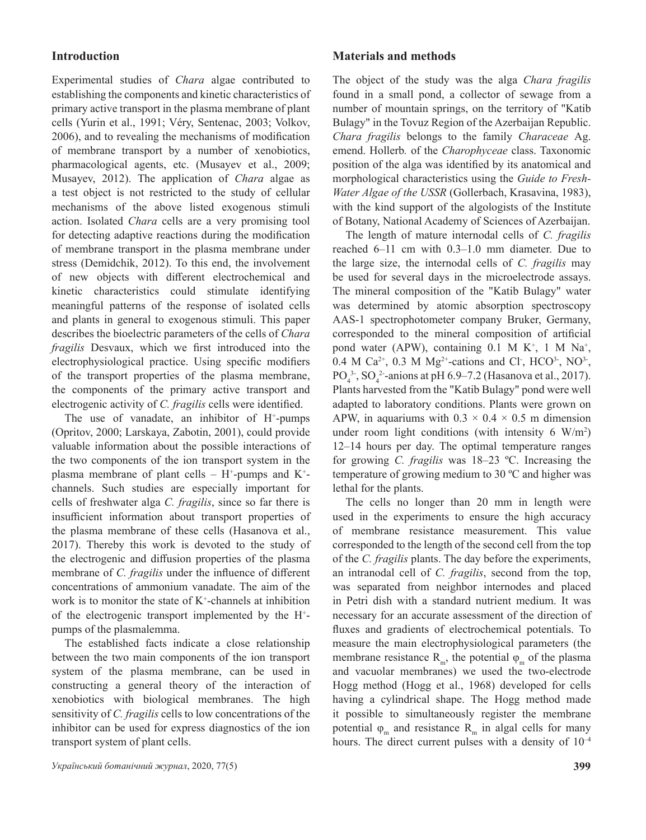# **Introduction**

Experimental studies of *Chara* algae contributed to establishing the components and kinetic characteristics of primary active transport in the plasma membrane of plant cells (Yurin et al., 1991; Véry, Sentenac, 2003; Volkov, 2006), and to revealing the mechanisms of modification of membrane transport by a number of xenobiotics, pharmacological agents, etc. (Musayev et al., 2009; Musayev, 2012). The application of *Chara* algae as a test object is not restricted to the study of cellular mechanisms of the above listed exogenous stimuli action. Isolated *Chara* cells are a very promising tool for detecting adaptive reactions during the modification of membrane transport in the plasma membrane under stress (Demidchik, 2012). To this end, the involvement of new objects with different electrochemical and kinetic characteristics could stimulate identifying meaningful patterns of the response of isolated cells and plants in general to exogenous stimuli. This paper describes the bioelectric parameters of the cells of *Chara fragilis* Desvaux, which we first introduced into the electrophysiological practice. Using specific modifiers of the transport properties of the plasma membrane, the components of the primary active transport and electrogenic activity of *C. fragilis* cells were identified.

The use of vanadate, an inhibitor of H<sup>+</sup>-pumps (Opritov, 2000; Larskaya, Zabotin, 2001), could provide valuable information about the possible interactions of the two components of the ion transport system in the plasma membrane of plant cells –  $H^+$ -pumps and  $K^+$ channels. Such studies are especially important for cells of freshwater alga *C. fragilis*, since so far there is insufficient information about transport properties of the plasma membrane of these cells (Hasanova et al., 2017). Thereby this work is devoted to the study of the electrogenic and diffusion properties of the plasma membrane of *C. fragilis* under the influence of different concentrations of ammonium vanadate. The aim of the work is to monitor the state of  $K^+$ -channels at inhibition of the electrogenic transport implemented by the H+ pumps of the plasmalemma.

The established facts indicate a close relationship between the two main components of the ion transport system of the plasma membrane, can be used in constructing a general theory of the interaction of xenobiotics with biological membranes. The high sensitivity of *C. fragilis* cells to low concentrations of the inhibitor can be used for express diagnostics of the ion transport system of plant cells.

## **Materials and methods**

The object of the study was the alga *Chara fragilis* found in a small pond, a collector of sewage from a number of mountain springs, on the territory of "Katib Bulagy" in the Tovuz Region of the Azerbaijan Republic. *Chara fragilis* belongs to the family *Characeae* Ag. emend. Hollerb*.* of the *Charophyceae* class. Taxonomic position of the alga was identified by its anatomical and morphological characteristics using the *Guide to Fresh-Water Algae of the USSR* (Gollerbach, Krasavina, 1983), with the kind support of the algologists of the Institute of Botany, National Academy of Sciences of Azerbaijan.

The length of mature internodal cells of *C. fragilis* reached 6–11 cm with 0.3–1.0 mm diameter. Due to the large size, the internodal cells of *C. fragilis* may be used for several days in the microelectrode assays. The mineral composition of the "Katib Bulagy" water was determined by atomic absorption spectroscopy AAS-1 spectrophotometer company Bruker, Germany, corresponded to the mineral composition of artificial pond water (APW), containing  $0.1$  M K<sup>+</sup>, 1 M Na<sup>+</sup>, 0.4 M Ca<sup>2+</sup>, 0.3 M Mg<sup>2+</sup>-cations and Cl<sup>-</sup>, HCO<sup>3</sup>-, NO<sup>3-</sup>, PO<sub>4</sub><sup>3</sup>, SO<sub>4</sub><sup>2</sup>-anions at pH 6.9–7.2 (Hasanova et al., 2017). Plants harvested from the "Katib Bulagy" pond were well adapted to laboratory conditions. Plants were grown on APW, in aquariums with  $0.3 \times 0.4 \times 0.5$  m dimension under room light conditions (with intensity 6  $W/m^2$ ) 12–14 hours per day. The optimal temperature ranges for growing *C. fragilis* was 18–23 ºС. Increasing the temperature of growing medium to 30 ºС and higher was lethal for the plants.

The cells no longer than 20 mm in length were used in the experiments to ensure the high accuracy of membrane resistance measurement. This value corresponded to the length of the second cell from the top of the *C. fragilis* plants. The day before the experiments, an intranodal cell of *C. fragilis*, second from the top, was separated from neighbor internodes and placed in Petri dish with a standard nutrient medium. It was necessary for an accurate assessment of the direction of fluxes and gradients of electrochemical potentials. To measure the main electrophysiological parameters (the membrane resistance  $R_m$ , the potential  $\varphi_m$  of the plasma and vacuolar membranes) we used the two-electrode Hogg method (Hogg et al., 1968) developed for cells having a cylindrical shape. The Hogg method made it possible to simultaneously register the membrane potential  $\varphi_m$  and resistance R<sub>m</sub> in algal cells for many hours. The direct current pulses with a density of  $10^{-4}$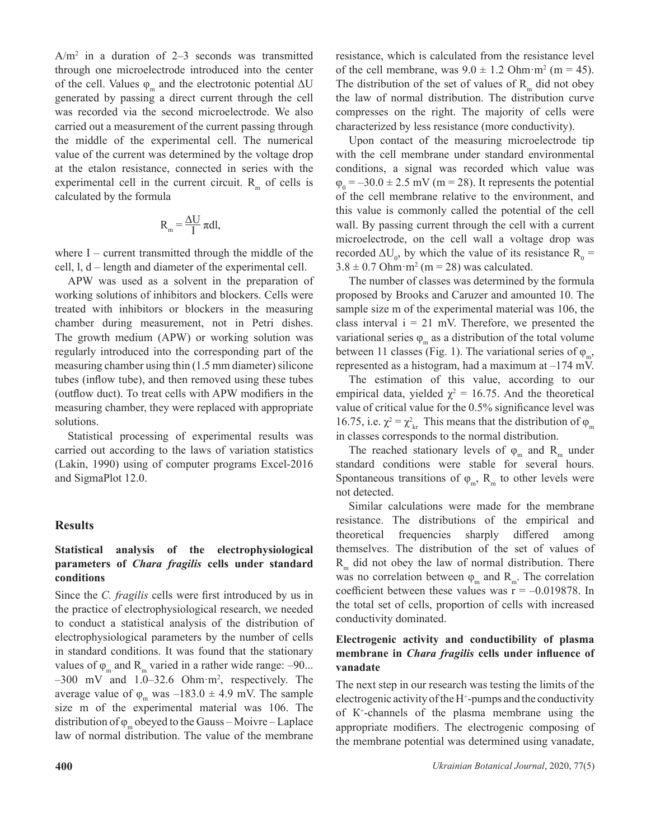$A/m<sup>2</sup>$  in a duration of 2–3 seconds was transmitted through one microelectrode introduced into the center of the cell. Values  $\varphi_m$  and the electrotonic potential  $\Delta U$ generated by passing a direct current through the cell was recorded via the second microelectrode. We also carried out a measurement of the current passing through the middle of the experimental cell. The numerical value of the current was determined by the voltage drop at the etalon resistance, connected in series with the experimental cell in the current circuit.  $R<sub>m</sub>$  of cells is calculated by the formula

$$
R_{_{m}} = \frac{\Delta U}{I} \pi dl,
$$

where I – current transmitted through the middle of the cell, l, d – length and diameter of the experimental cell.

APW was used as a solvent in the preparation of working solutions of inhibitors and blockers. Cells were treated with inhibitors or blockers in the measuring chamber during measurement, not in Petri dishes. The growth medium (APW) or working solution was regularly introduced into the corresponding part of the measuring chamber using thin (1.5 mm diameter) silicone tubes (inflow tube), and then removed using these tubes (outflow duct). To treat cells with APW modifiers in the measuring chamber, they were replaced with appropriate solutions.

Statistical processing of experimental results was carried out according to the laws of variation statistics (Lakin, 1990) using of computer programs Excel-2016 and SigmaPlot 12.0.

## **Results**

# **Statistical analysis of the electrophysiological parameters of** *Chara fragilis* **cells under standard conditions**

Since the *C. fragilis* cells were first introduced by us in the practice of electrophysiological research, we needed to conduct a statistical analysis of the distribution of electrophysiological parameters by the number of cells in standard conditions. It was found that the stationary values of  $\varphi_m$  and R<sub>m</sub> varied in a rather wide range: -90... –300 mV and 1.0–32.6 Ohm·m2 , respectively. The average value of  $\varphi_m$  was  $-183.0 \pm 4.9$  mV. The sample size m of the experimental material was 106. The distribution of  $\varphi$  obeyed to the Gauss – Moivre – Laplace law of normal distribution. The value of the membrane

resistance, which is calculated from the resistance level of the cell membrane, was  $9.0 \pm 1.2$  Ohm $\cdot$ m<sup>2</sup> (m = 45). The distribution of the set of values of  $R_m$  did not obey the law of normal distribution. The distribution curve compresses on the right. The majority of cells were characterized by less resistance (more conductivity).

Upon contact of the measuring microelectrode tip with the cell membrane under standard environmental conditions, a signal was recorded which value was  $\varphi_0 = -30.0 \pm 2.5$  mV (m = 28). It represents the potential of the cell membrane relative to the environment, and this value is commonly called the potential of the cell wall. By passing current through the cell with a current microelectrode, on the cell wall a voltage drop was recorded  $\Delta U_0$ , by which the value of its resistance  $R_0 =$  $3.8 \pm 0.7$  Ohm·m<sup>2</sup> (m = 28) was calculated.

The number of classes was determined by the formula proposed by Brooks and Caruzer and amounted 10. The sample size m of the experimental material was 106, the class interval  $i = 21$  mV. Therefore, we presented the variational series  $\varphi_m$  as a distribution of the total volume between 11 classes (Fig. 1). The variational series of  $\varphi_m$ , represented as a histogram, had a maximum at  $-174$  mV.

The estimation of this value, according to our empirical data, yielded  $\chi^2 = 16.75$ . And the theoretical value of critical value for the 0.5% significance level was 16.75, i.e.  $\chi^2 = \chi^2_{kr}$  This means that the distribution of  $\varphi_m$ in classes corresponds to the normal distribution.

The reached stationary levels of  $\varphi_m$  and R<sub>m</sub> under standard conditions were stable for several hours. Spontaneous transitions of  $\varphi_m$ , R<sub>m</sub> to other levels were not detected.

Similar calculations were made for the membrane resistance. The distributions of the empirical and theoretical frequencies sharply differed among themselves. The distribution of the set of values of  $R_m$  did not obey the law of normal distribution. There was no correlation between  $\varphi_m$  and  $R_m$ . The correlation coefficient between these values was  $r = -0.019878$ . In the total set of cells, proportion of cells with increased conductivity dominated.

# **Electrogenic activity and conductibility of plasma membrane in** *Chara fragilis* **cells under influence of vanadate**

The next step in our research was testing the limits of the electrogenic activity of the H<sup>+</sup>-pumps and the conductivity of К<sup>+</sup> -channels of the plasma membrane using the appropriate modifiers. The electrogenic composing of the membrane potential was determined using vanadate,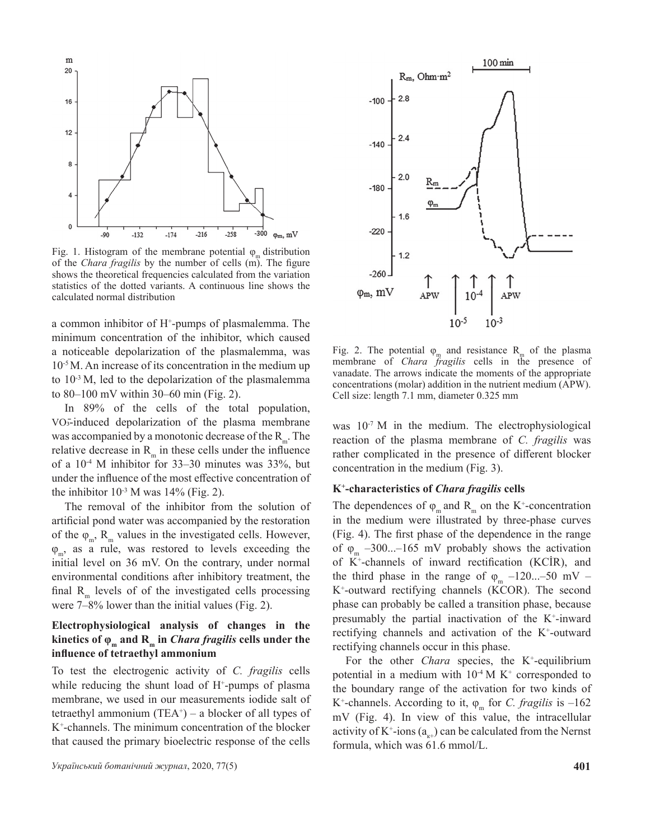

Fig. 1. Histogram of the membrane potential  $\varphi_m$  distribution of the *Chara fragilis* by the number of cells (m). The figure shows the theoretical frequencies calculated from the variation statistics of the dotted variants. A continuous line shows the calculated normal distribution

a common inhibitor of H+ -pumps of plasmalemma. The minimum concentration of the inhibitor, which caused a noticeable depolarization of the plasmalemma, was 10-5 M. An increase of its concentration in the medium up to  $10^{-3}$  M, led to the depolarization of the plasmalemma to 80–100 mV within 30–60 min (Fig. 2).

In 89% of the cells of the total population, VO3̄-induced depolarization of the plasma membrane was accompanied by a monotonic decrease of the  $R_m$ . The relative decrease in  $R_m$  in these cells under the influence of a  $10^{-4}$  M inhibitor for 33–30 minutes was 33%, but under the influence of the most effective concentration of the inhibitor  $10^{-3}$  M was  $14\%$  (Fig. 2).

The removal of the inhibitor from the solution of artificial pond water was accompanied by the restoration of the  $\varphi_m$ , R<sub>m</sub> values in the investigated cells. However,  $\varphi_m$ , as a rule, was restored to levels exceeding the initial level on 36 mV. On the contrary, under normal environmental conditions after inhibitory treatment, the final  $R<sub>m</sub>$  levels of of the investigated cells processing were 7–8% lower than the initial values (Fig. 2).

# **Electrophysiological analysis of changes in the kinetics** of  $\varphi_m$  and  $R_m$  in *Chara fragilis* cells under the **influence of tetraethyl ammonium**

To test the electrogenic activity of *C. fragilis* cells while reducing the shunt load of  $H^+$ -pumps of plasma membrane, we used in our measurements iodide salt of tetraethyl ammonium  $(TEA<sup>+</sup>)$  – a blocker of all types of K+ -channels. The minimum concentration of the blocker that caused the primary bioelectric response of the cells





Fig. 2. The potential  $\varphi_m$  and resistance R<sub>m</sub> of the plasma membrane of *Chara fragilis* cells in the presence of vanadate. The arrows indicate the moments of the appropriate concentrations (molar) addition in the nutrient medium (APW). Cell size: length 7.1 mm, diameter 0.325 mm

was  $10^{-7}$  M in the medium. The electrophysiological reaction of the plasma membrane of *C. fragilis* was rather complicated in the presence of different blocker concentration in the medium (Fig. 3).

#### **K+ -characteristics of** *Chara fragilis* **cells**

The dependences of  $\varphi_m$  and  $R_m$  on the K<sup>+</sup>-concentration in the medium were illustrated by three-phase curves (Fig. 4). The first phase of the dependence in the range of  $\varphi_m$  –300...–165 mV probably shows the activation of K+ -channels of inward rectification (KCİR), and the third phase in the range of  $\varphi_m$  –120...–50 mV – K+ -outward rectifying channels (KCOR). The second phase can probably be called a transition phase, because presumably the partial inactivation of the  $K^+$ -inward rectifying channels and activation of the K<sup>+</sup>-outward rectifying channels occur in this phase.

For the other *Chara* species, the K<sup>+</sup>-equilibrium potential in a medium with  $10^{-4}$  M K<sup>+</sup> corresponded to the boundary range of the activation for two kinds of K<sup>+</sup>-channels. According to it,  $\varphi_m$  for *C. fragilis* is -162 mV (Fig. 4). In view of this value, the intracellular activity of K<sup>+</sup>-ions ( $a_{k+}$ ) can be calculated from the Nernst formula, which was 61.6 mmol/L.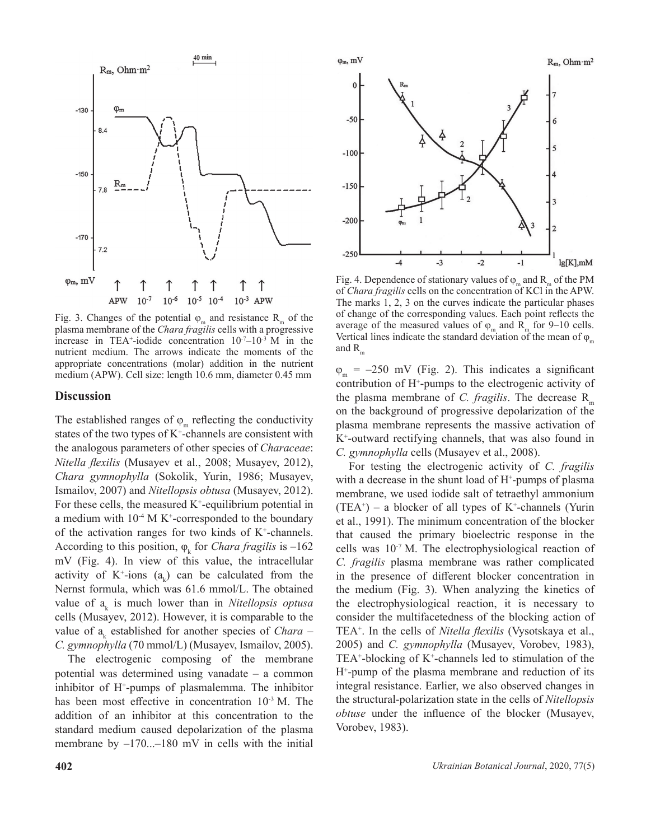

Fig. 3. Changes of the potential  $\varphi_m$  and resistance  $R_m$  of the plasma membrane of the *Chara fragilis* cells with a progressive increase in TEA<sup>+</sup>-iodide concentration  $10^{-7}-10^{-3}$  M in the nutrient medium. The arrows indicate the moments of the appropriate concentrations (molar) addition in the nutrient medium (APW). Cell size: length 10.6 mm, diameter 0.45 mm

### **Discussion**

The established ranges of  $\varphi_m$  reflecting the conductivity states of the two types of  $K^*$ -channels are consistent with the analogous parameters of other species of *Сharaceae*: *Nitella flexilis* (Musayev et al., 2008; Musayev, 2012), *Chara gymnophylla* (Sokolik, Yurin, 1986; Musayev, Ismailov, 2007) and *Nitellopsis obtusa* (Musayev, 2012). For these cells, the measured  $K^+$ -equilibrium potential in a medium with  $10<sup>-4</sup>$  M K<sup>+</sup>-corresponded to the boundary of the activation ranges for two kinds of  $K^+$ -channels. According to this position,  $\varphi_k$  for *Chara fragilis* is  $-162$ mV (Fig. 4). In view of this value, the intracellular activity of  $K^+$ -ions  $(a_k)$  can be calculated from the Nernst formula, which was 61.6 mmol/L. The obtained value of  $a_k$  is much lower than in *Nitellopsis optusa* cells (Musayev, 2012). However, it is comparable to the value of  $a_k$  established for another species of *Chara* – *C. gymnophylla* (70 mmol/L) (Musayev, Ismailov, 2005).

The electrogenic composing of the membrane potential was determined using vanadate – a common inhibitor of H+ -pumps of plasmalemma. The inhibitor has been most effective in concentration  $10^{-3}$  M. The addition of an inhibitor at this concentration to the standard medium caused depolarization of the plasma membrane by  $-170...$ -180 mV in cells with the initial



Fig. 4. Dependence of stationary values of  $\varphi_m$  and  $R_m$  of the PM of *Chara fragilis* cells on the concentration of KCl in the APW. The marks 1, 2, 3 on the curves indicate the particular phases of change of the corresponding values. Each point reflects the average of the measured values of  $\varphi_m$  and R<sub>m</sub> for 9–10 cells. Vertical lines indicate the standard deviation of the mean of  $\varphi_m$ and  $R_{\ldots}$ 

 $\varphi_m$  = –250 mV (Fig. 2). This indicates a significant contribution of H+ -pumps to the electrogenic activity of the plasma membrane of *C. fragilis*. The decrease  $R_{m}$ on the background of progressive depolarization of the plasma membrane represents the massive activation of K+ -outward rectifying channels, that was also found in *C. gymnophylla* cells (Musayev et al., 2008).

For testing the electrogenic activity of *C. fragilis* with a decrease in the shunt load of H<sup>+</sup>-pumps of plasma membrane, we used iodide salt of tetraethyl ammonium  $(TEA<sup>+</sup>)$  – a blocker of all types of K<sup>+</sup>-channels (Yurin et al., 1991). The minimum concentration of the blocker that caused the primary bioelectric response in the cells was  $10^{-7}$  M. The electrophysiological reaction of *C. fragilis* plasma membrane was rather complicated in the presence of different blocker concentration in the medium (Fig. 3). When analyzing the kinetics of the electrophysiological reaction, it is necessary to consider the multifacetedness of the blocking action of TEA+ . In the cells of *Nitella flexilis* (Vysotskaya et al., 2005) and *C. gymnophylla* (Musayev, Vorobev, 1983),  $TEA<sup>+</sup>$ -blocking of  $K<sup>+</sup>$ -channels led to stimulation of the H+ -pump of the plasma membrane and reduction of its integral resistance. Earlier, we also observed changes in the structural-polarization state in the cells of *Nitellopsis obtuse* under the influence of the blocker (Musayev, Vorobev, 1983).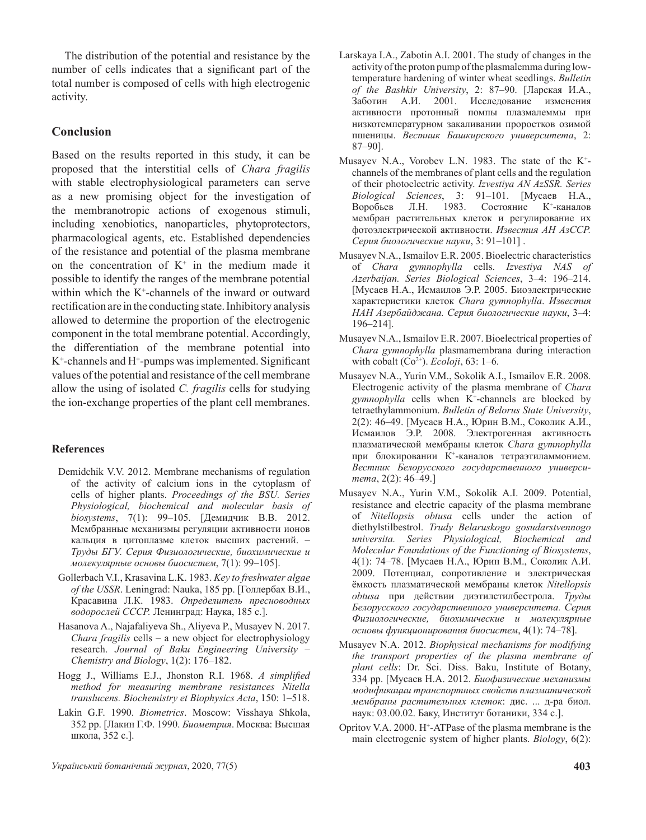The distribution of the potential and resistance by the number of cells indicates that a significant part of the total number is composed of cells with high electrogenic activity.

# **Conclusion**

Based on the results reported in this study, it can be proposed that the interstitial cells of *Chara fragilis* with stable electrophysiological parameters can serve as a new promising object for the investigation of the membranotropic actions of exogenous stimuli, including xenobiotics, nanoparticles, phytoprotectors, pharmacological agents, etc. Established dependencies of the resistance and potential of the plasma membrane on the concentration of  $K^+$  in the medium made it possible to identify the ranges of the membrane potential within which the  $K^+$ -channels of the inward or outward rectification are in the conducting state. Inhibitory analysis allowed to determine the proportion of the electrogenic component in the total membrane potential. Accordingly, the differentiation of the membrane potential into K<sup>+</sup>-channels and H<sup>+</sup>-pumps was implemented. Significant values of the potential and resistance of the cell membrane allow the using of isolated *C. fragilis* cells for studying the ion-exchange properties of the plant cell membranes.

## **References**

- Demidchik V.V. 2012. Membrane mechanisms of regulation of the activity of calcium ions in the cytoplasm of cells of higher plants. *Proceedings of the BSU. Series Physiological, biochemical and molecular basis of biosystems*, 7(1): 99–105. [Демидчик В.В. 2012. Мембранные механизмы регуляции активности ионов кальция в цитоплазме клеток высших растений. – *Труды БГУ. Cерия Физиологические, биохимические и молекулярные основы биосистем*, 7(1): 99–105].
- Gollerbach V.I., Krasavina L.K. 1983. *Key to freshwater algae of the USSR*. Leningrad: Nauka, 185 pp. [Голлербах В.И., Красавина Л.К. 1983. *Определитель пресноводных водорослей СССР.* Ленинград: Наука, 185 с.].
- Hasanova A., Najafaliyeva Sh., Aliyeva P., Musayev N. 2017. *Chara fragilis* cells – a new object for electrophysiology research. *Journal of Baku Engineering University – Chemistry and Biology*, 1(2): 176–182.
- Hogg J., Williams E.J., Jhonston R.I. 1968. *A simplified method for measuring membrane resistances Nitella translucens. Biochemistry et Biophysics Acta*, 150: 1–518.
- Lakin G.F. 1990. *Biometrics*. Moscow: Visshaya Shkola, 352 pp. [Лакин Г.Ф. 1990. *Биометрия*. Москва: Высшая школа, 352 с.].
- Larskaya I.A., Zabotin A.I. 2001. The study of changes in the activity of the proton pump of the plasmalemma during lowtemperature hardening of winter wheat seedlings. *Bulletin of the Bashkir University*, 2: 87–90. [Ларская И.А., Заботин А.И. 2001. Исследование изменения активности протонный помпы плазмалеммы при низкотемпературном закаливании проростков озимой пшеницы. *Вестник Башкирского университета*, 2: 87–90].
- Musayev N.A., Vorobev L.N. 1983. The state of the K+ channels of the membranes of plant cells and the regulation of their photoelectric activity. *Izvestiya AN AzSSR. Series Biological Sciences*, 3: 91–101. [Мусаев Н.А., Воробьев Л.Н. 1983. Состояние К<sup>+</sup> -каналов мембран растительных клеток и регулирование их фотоэлектрической активности. *Известия АН АзССР. Серия биологические науки*, 3: 91–101] .
- Musayev N.A., Ismailov E.R. 2005. Bioelectric characteristics of *Chara gymnophylla* cells. *Izvestiya NAS of Azerbaijan. Series Biological Sciences*, 3–4: 196–214. [Мусаев Н.А., Исмаилов Э.Р. 2005. Биоэлектрические характеристики клеток *Chara gymnophylla*. *Известия НАН Азербайджана. Серия биологические науки*, 3–4: 196–214].
- Musayev N.A., Ismailov E.R. 2007. Bioelectrical properties of *Chara gymnophylla* plasmamembrana during interaction with cobalt  $(Co^{2+})$ . *Ecoloji*, 63: 1–6.
- Musayev N.A., Yurin V.M., Sokolik A.I., Ismailov E.R. 2008. Electrogenic activity of the plasma membrane of *Chara*  gymnophylla cells when K<sup>+</sup>-channels are blocked by tetraethylammonium. *Bulletin of Belorus State University*, 2(2): 46–49. [Мусаев Н.А., Юрин В.М., Соколик А.И., Исмаилов Э.Р. 2008. Электрогенная активность плазматической мембраны клеток *Chara gymnophylla* при блокировании К<sup>+</sup> -каналов тетраэтиламмонием. *Вестник Белорусского государственного университета*, 2(2): 46–49.]
- Musayev N.A., Yurin V.M., Sokolik A.I. 2009. Potential, resistance and electric capacity of the plasma membrane of *Nitellopsis obtusa* cells under the action of diethylstilbestrol. *Trudy Belaruskogo gosudarstvennogo universita. Series Physiological, Biochemical and Molecular Foundations of the Functioning of Biosystems*, 4(1): 74–78. [Мусаев Н.А., Юрин В.М., Соколик А.И. 2009. Потенциал, сопротивление и электрическая ёмкость плазматической мембраны клеток *Nitellopsis obtusa* при действии диэтилстилбестрола. *Труды Белорусского государственного университета. Серия Физиологические, биохимические и молекулярные основы функционирования биосистем*, 4(1): 74–78].
- Musayev N.A. 2012. *Biophysical mechanisms for modifying the transport properties of the plasma membrane of plant cells*: Dr. Sci. Diss. Baku, Institute of Botany, 334 pp. [Мусаев Н.А. 2012. *Биофизические механизмы модификации транспортных свойств плазматической мембраны растительных клеток*: дис. ... д-ра биол. наук: 03.00.02. Баку, Институт ботаники, 334 с.].
- Opritov V.A. 2000. H+ -ATPase of the plasma membrane is the main electrogenic system of higher plants. *Biology*, 6(2):